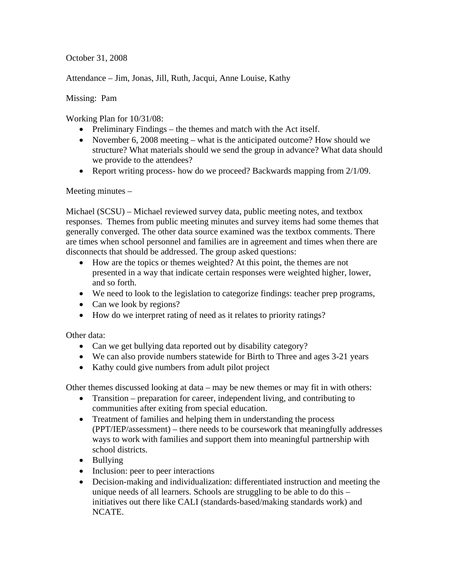October 31, 2008

Attendance – Jim, Jonas, Jill, Ruth, Jacqui, Anne Louise, Kathy

Missing: Pam

Working Plan for 10/31/08:

- Preliminary Findings the themes and match with the Act itself.
- November 6, 2008 meeting what is the anticipated outcome? How should we structure? What materials should we send the group in advance? What data should we provide to the attendees?
- Report writing process- how do we proceed? Backwards mapping from 2/1/09.

Meeting minutes –

Michael (SCSU) – Michael reviewed survey data, public meeting notes, and textbox responses. Themes from public meeting minutes and survey items had some themes that generally converged. The other data source examined was the textbox comments. There are times when school personnel and families are in agreement and times when there are disconnects that should be addressed. The group asked questions:

- How are the topics or themes weighted? At this point, the themes are not presented in a way that indicate certain responses were weighted higher, lower, and so forth.
- We need to look to the legislation to categorize findings: teacher prep programs,
- Can we look by regions?
- How do we interpret rating of need as it relates to priority ratings?

Other data:

- Can we get bullying data reported out by disability category?
- We can also provide numbers statewide for Birth to Three and ages 3-21 years
- Kathy could give numbers from adult pilot project

Other themes discussed looking at data – may be new themes or may fit in with others:

- Transition preparation for career, independent living, and contributing to communities after exiting from special education.
- Treatment of families and helping them in understanding the process (PPT/IEP/assessment) – there needs to be coursework that meaningfully addresses ways to work with families and support them into meaningful partnership with school districts.
- Bullying
- Inclusion: peer to peer interactions
- Decision-making and individualization: differentiated instruction and meeting the unique needs of all learners. Schools are struggling to be able to do this – initiatives out there like CALI (standards-based/making standards work) and NCATE.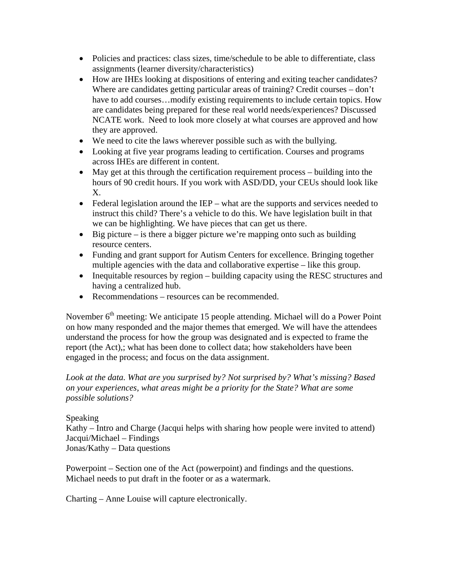- Policies and practices: class sizes, time/schedule to be able to differentiate, class assignments (learner diversity/characteristics)
- How are IHEs looking at dispositions of entering and exiting teacher candidates? Where are candidates getting particular areas of training? Credit courses – don't have to add courses...modify existing requirements to include certain topics. How are candidates being prepared for these real world needs/experiences? Discussed NCATE work. Need to look more closely at what courses are approved and how they are approved.
- We need to cite the laws wherever possible such as with the bullying.
- Looking at five year programs leading to certification. Courses and programs across IHEs are different in content.
- May get at this through the certification requirement process building into the hours of 90 credit hours. If you work with ASD/DD, your CEUs should look like X.
- Federal legislation around the IEP what are the supports and services needed to instruct this child? There's a vehicle to do this. We have legislation built in that we can be highlighting. We have pieces that can get us there.
- Big picture is there a bigger picture we're mapping onto such as building resource centers.
- Funding and grant support for Autism Centers for excellence. Bringing together multiple agencies with the data and collaborative expertise – like this group.
- Inequitable resources by region building capacity using the RESC structures and having a centralized hub.
- Recommendations resources can be recommended.

November  $6<sup>th</sup>$  meeting: We anticipate 15 people attending. Michael will do a Power Point on how many responded and the major themes that emerged. We will have the attendees understand the process for how the group was designated and is expected to frame the report (the Act),; what has been done to collect data; how stakeholders have been engaged in the process; and focus on the data assignment.

*Look at the data. What are you surprised by? Not surprised by? What's missing? Based on your experiences, what areas might be a priority for the State? What are some possible solutions?* 

## Speaking

Kathy – Intro and Charge (Jacqui helps with sharing how people were invited to attend) Jacqui/Michael – Findings Jonas/Kathy – Data questions

Powerpoint – Section one of the Act (powerpoint) and findings and the questions. Michael needs to put draft in the footer or as a watermark.

Charting – Anne Louise will capture electronically.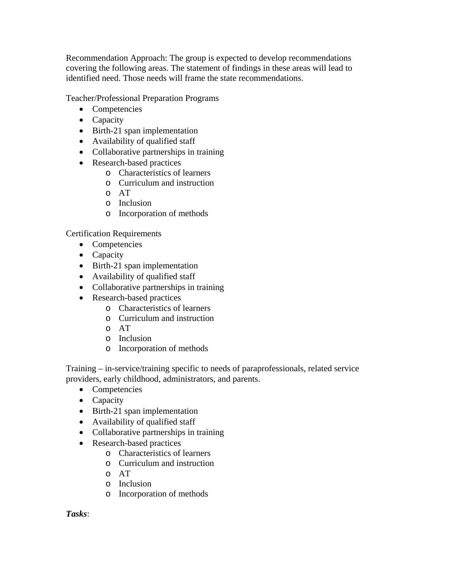Recommendation Approach: The group is expected to develop recommendations covering the following areas. The statement of findings in these areas will lead to identified need. Those needs will frame the state recommendations.

Teacher/Professional Preparation Programs

- Competencies
- Capacity
- Birth-21 span implementation
- Availability of qualified staff
- Collaborative partnerships in training
- Research-based practices
	- o Characteristics of learners
	- o Curriculum and instruction
	- o AT
	- o Inclusion
	- o Incorporation of methods

Certification Requirements

- Competencies
- Capacity
- Birth-21 span implementation
- Availability of qualified staff
- Collaborative partnerships in training
- Research-based practices
	- o Characteristics of learners
	- o Curriculum and instruction
	- o AT
	- o Inclusion
	- o Incorporation of methods

Training – in-service/training specific to needs of paraprofessionals, related service providers, early childhood, administrators, and parents.

- Competencies
- Capacity
- Birth-21 span implementation
- Availability of qualified staff
- Collaborative partnerships in training
- Research-based practices
	- o Characteristics of learners
	- o Curriculum and instruction
	- o AT
	- o Inclusion
	- o Incorporation of methods

*Tasks*: